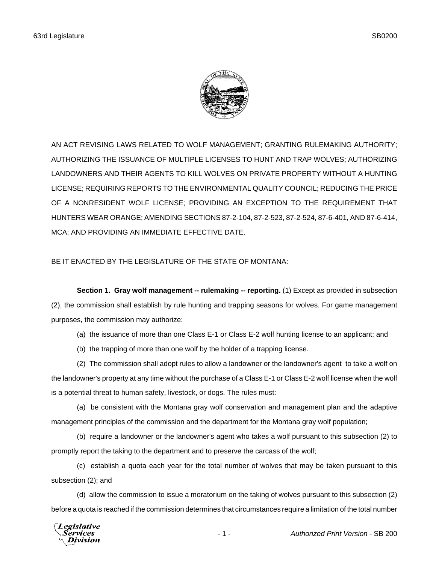

AN ACT REVISING LAWS RELATED TO WOLF MANAGEMENT; GRANTING RULEMAKING AUTHORITY; AUTHORIZING THE ISSUANCE OF MULTIPLE LICENSES TO HUNT AND TRAP WOLVES; AUTHORIZING LANDOWNERS AND THEIR AGENTS TO KILL WOLVES ON PRIVATE PROPERTY WITHOUT A HUNTING LICENSE; REQUIRING REPORTS TO THE ENVIRONMENTAL QUALITY COUNCIL; REDUCING THE PRICE OF A NONRESIDENT WOLF LICENSE; PROVIDING AN EXCEPTION TO THE REQUIREMENT THAT HUNTERS WEAR ORANGE; AMENDING SECTIONS 87-2-104, 87-2-523, 87-2-524, 87-6-401, AND 87-6-414, MCA; AND PROVIDING AN IMMEDIATE EFFECTIVE DATE.

## BE IT ENACTED BY THE LEGISLATURE OF THE STATE OF MONTANA:

**Section 1. Gray wolf management -- rulemaking -- reporting.** (1) Except as provided in subsection (2), the commission shall establish by rule hunting and trapping seasons for wolves. For game management purposes, the commission may authorize:

(a) the issuance of more than one Class E-1 or Class E-2 wolf hunting license to an applicant; and

(b) the trapping of more than one wolf by the holder of a trapping license.

(2) The commission shall adopt rules to allow a landowner or the landowner's agent to take a wolf on the landowner's property at any time without the purchase of a Class E-1 or Class E-2 wolf license when the wolf is a potential threat to human safety, livestock, or dogs. The rules must:

(a) be consistent with the Montana gray wolf conservation and management plan and the adaptive management principles of the commission and the department for the Montana gray wolf population;

(b) require a landowner or the landowner's agent who takes a wolf pursuant to this subsection (2) to promptly report the taking to the department and to preserve the carcass of the wolf;

(c) establish a quota each year for the total number of wolves that may be taken pursuant to this subsection (2); and

(d) allow the commission to issue a moratorium on the taking of wolves pursuant to this subsection (2) before a quota is reached if the commission determines that circumstances require a limitation of the total number

**Legislative** *Services* Division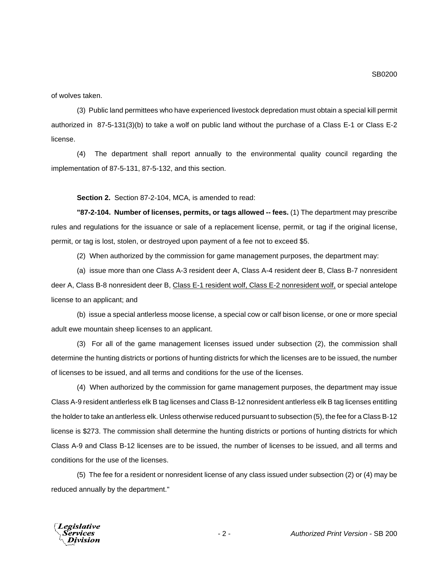of wolves taken.

(3) Public land permittees who have experienced livestock depredation must obtain a special kill permit authorized in 87-5-131(3)(b) to take a wolf on public land without the purchase of a Class E-1 or Class E-2 license.

(4) The department shall report annually to the environmental quality council regarding the implementation of 87-5-131, 87-5-132, and this section.

## **Section 2.** Section 87-2-104, MCA, is amended to read:

**"87-2-104. Number of licenses, permits, or tags allowed -- fees.** (1) The department may prescribe rules and regulations for the issuance or sale of a replacement license, permit, or tag if the original license, permit, or tag is lost, stolen, or destroyed upon payment of a fee not to exceed \$5.

(2) When authorized by the commission for game management purposes, the department may:

(a) issue more than one Class A-3 resident deer A, Class A-4 resident deer B, Class B-7 nonresident deer A, Class B-8 nonresident deer B, Class E-1 resident wolf, Class E-2 nonresident wolf, or special antelope license to an applicant; and

(b) issue a special antlerless moose license, a special cow or calf bison license, or one or more special adult ewe mountain sheep licenses to an applicant.

(3) For all of the game management licenses issued under subsection (2), the commission shall determine the hunting districts or portions of hunting districts for which the licenses are to be issued, the number of licenses to be issued, and all terms and conditions for the use of the licenses.

(4) When authorized by the commission for game management purposes, the department may issue Class A-9 resident antlerless elk B tag licenses and Class B-12 nonresident antlerless elk B tag licenses entitling the holder to take an antlerless elk. Unless otherwise reduced pursuant to subsection (5), the fee for a Class B-12 license is \$273. The commission shall determine the hunting districts or portions of hunting districts for which Class A-9 and Class B-12 licenses are to be issued, the number of licenses to be issued, and all terms and conditions for the use of the licenses.

(5) The fee for a resident or nonresident license of any class issued under subsection (2) or (4) may be reduced annually by the department."

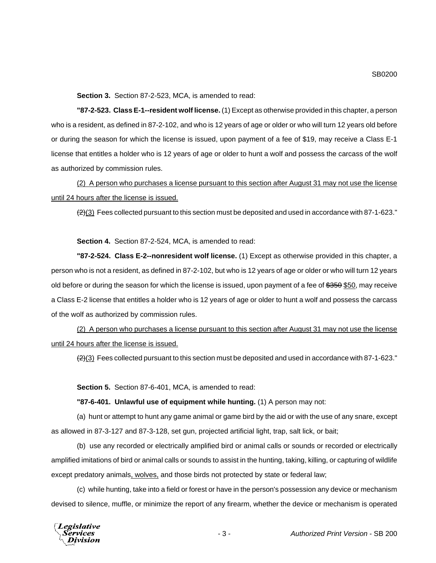**Section 3.** Section 87-2-523, MCA, is amended to read:

**"87-2-523. Class E-1--resident wolf license.** (1) Except as otherwise provided in this chapter, a person who is a resident, as defined in 87-2-102, and who is 12 years of age or older or who will turn 12 years old before or during the season for which the license is issued, upon payment of a fee of \$19, may receive a Class E-1 license that entitles a holder who is 12 years of age or older to hunt a wolf and possess the carcass of the wolf as authorized by commission rules.

(2) A person who purchases a license pursuant to this section after August 31 may not use the license until 24 hours after the license is issued.

 $(2)(3)$  Fees collected pursuant to this section must be deposited and used in accordance with 87-1-623."

**Section 4.** Section 87-2-524, MCA, is amended to read:

**"87-2-524. Class E-2--nonresident wolf license.** (1) Except as otherwise provided in this chapter, a person who is not a resident, as defined in 87-2-102, but who is 12 years of age or older or who will turn 12 years old before or during the season for which the license is issued, upon payment of a fee of \$350 \$50, may receive a Class E-2 license that entitles a holder who is 12 years of age or older to hunt a wolf and possess the carcass of the wolf as authorized by commission rules.

(2) A person who purchases a license pursuant to this section after August 31 may not use the license until 24 hours after the license is issued.

 $(2)(3)$  Fees collected pursuant to this section must be deposited and used in accordance with 87-1-623."

**Section 5.** Section 87-6-401, MCA, is amended to read:

**"87-6-401. Unlawful use of equipment while hunting.** (1) A person may not:

(a) hunt or attempt to hunt any game animal or game bird by the aid or with the use of any snare, except as allowed in 87-3-127 and 87-3-128, set gun, projected artificial light, trap, salt lick, or bait;

(b) use any recorded or electrically amplified bird or animal calls or sounds or recorded or electrically amplified imitations of bird or animal calls or sounds to assist in the hunting, taking, killing, or capturing of wildlife except predatory animals, wolves, and those birds not protected by state or federal law;

(c) while hunting, take into a field or forest or have in the person's possession any device or mechanism devised to silence, muffle, or minimize the report of any firearm, whether the device or mechanism is operated

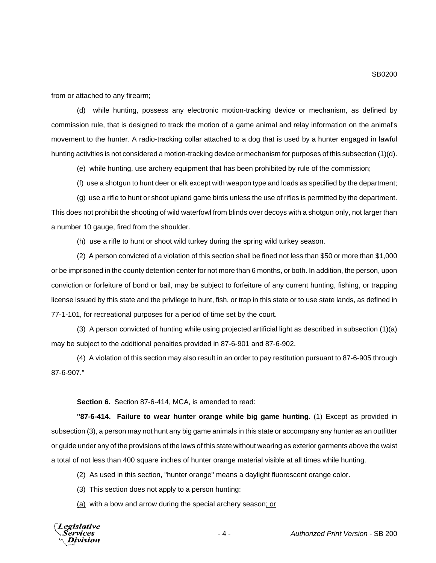from or attached to any firearm;

(d) while hunting, possess any electronic motion-tracking device or mechanism, as defined by commission rule, that is designed to track the motion of a game animal and relay information on the animal's movement to the hunter. A radio-tracking collar attached to a dog that is used by a hunter engaged in lawful hunting activities is not considered a motion-tracking device or mechanism for purposes of this subsection (1)(d).

(e) while hunting, use archery equipment that has been prohibited by rule of the commission;

(f) use a shotgun to hunt deer or elk except with weapon type and loads as specified by the department;

(g) use a rifle to hunt or shoot upland game birds unless the use of rifles is permitted by the department. This does not prohibit the shooting of wild waterfowl from blinds over decoys with a shotgun only, not larger than a number 10 gauge, fired from the shoulder.

(h) use a rifle to hunt or shoot wild turkey during the spring wild turkey season.

(2) A person convicted of a violation of this section shall be fined not less than \$50 or more than \$1,000 or be imprisoned in the county detention center for not more than 6 months, or both. In addition, the person, upon conviction or forfeiture of bond or bail, may be subject to forfeiture of any current hunting, fishing, or trapping license issued by this state and the privilege to hunt, fish, or trap in this state or to use state lands, as defined in 77-1-101, for recreational purposes for a period of time set by the court.

(3) A person convicted of hunting while using projected artificial light as described in subsection (1)(a) may be subject to the additional penalties provided in 87-6-901 and 87-6-902.

(4) A violation of this section may also result in an order to pay restitution pursuant to 87-6-905 through 87-6-907."

**Section 6.** Section 87-6-414, MCA, is amended to read:

**"87-6-414. Failure to wear hunter orange while big game hunting.** (1) Except as provided in subsection (3), a person may not hunt any big game animals in this state or accompany any hunter as an outfitter or guide under any of the provisions of the laws of this state without wearing as exterior garments above the waist a total of not less than 400 square inches of hunter orange material visible at all times while hunting.

(2) As used in this section, "hunter orange" means a daylight fluorescent orange color.

- (3) This section does not apply to a person hunting:
- (a) with a bow and arrow during the special archery season; or



- 4 - *Authorized Print Version* - SB 200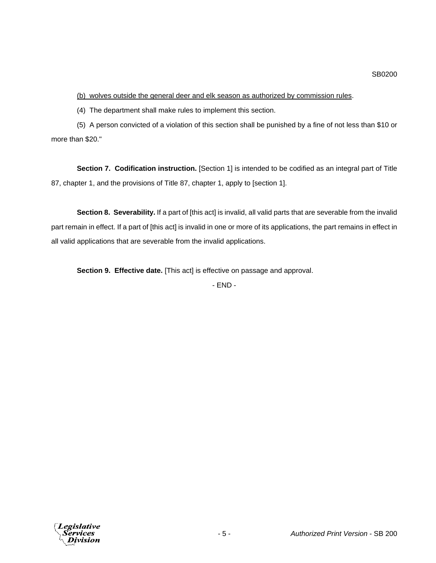(b) wolves outside the general deer and elk season as authorized by commission rules.

(4) The department shall make rules to implement this section.

(5) A person convicted of a violation of this section shall be punished by a fine of not less than \$10 or more than \$20."

**Section 7. Codification instruction.** [Section 1] is intended to be codified as an integral part of Title 87, chapter 1, and the provisions of Title 87, chapter 1, apply to [section 1].

**Section 8. Severability.** If a part of [this act] is invalid, all valid parts that are severable from the invalid part remain in effect. If a part of [this act] is invalid in one or more of its applications, the part remains in effect in all valid applications that are severable from the invalid applications.

**Section 9. Effective date.** [This act] is effective on passage and approval.

- END -

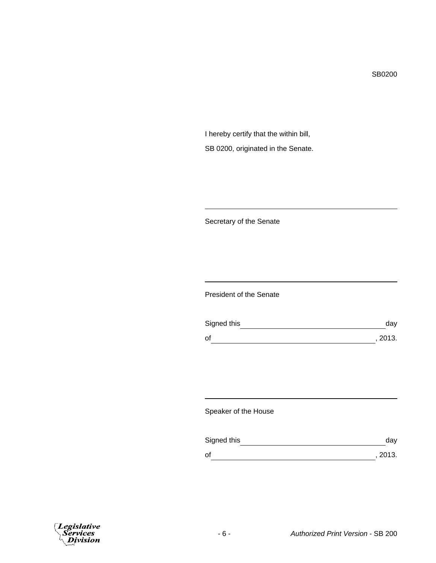SB0200

I hereby certify that the within bill, SB 0200, originated in the Senate.

Secretary of the Senate

President of the Senate

| Signed this | dav     |
|-------------|---------|
| of          | , 2013. |

Speaker of the House

| Signed this | dav     |
|-------------|---------|
| οf          | , 2013. |